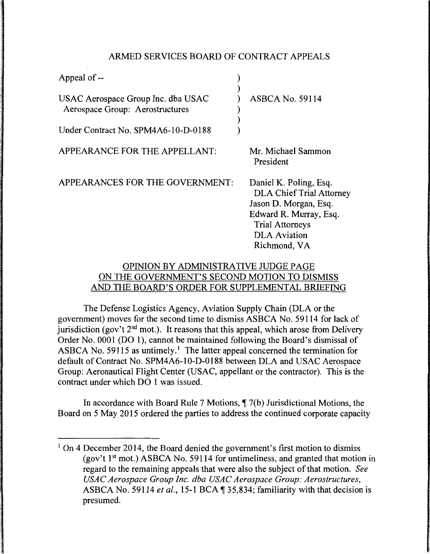### ARMED SERVICES BOARD OF CONTRACT APPEALS

| Appeal of --                                                          |                                                                                                                                                                               |
|-----------------------------------------------------------------------|-------------------------------------------------------------------------------------------------------------------------------------------------------------------------------|
| USAC Aerospace Group Inc. dba USAC<br>Aerospace Group: Aerostructures | <b>ASBCA No. 59114</b>                                                                                                                                                        |
| Under Contract No. SPM4A6-10-D-0188                                   |                                                                                                                                                                               |
| APPEARANCE FOR THE APPELLANT:                                         | Mr. Michael Sammon<br>President                                                                                                                                               |
| APPEARANCES FOR THE GOVERNMENT:                                       | Daniel K. Poling, Esq.<br><b>DLA Chief Trial Attorney</b><br>Jason D. Morgan, Esq.<br>Edward R. Murray, Esq.<br><b>Trial Attorneys</b><br><b>DLA</b> Aviation<br>Richmond, VA |

# OPINION BY ADMINISTRATIVE JUDGE PAGE ON THE GOVERNMENT'S SECOND MOTION TO DISMISS AND THE BOARD'S ORDER FOR SUPPLEMENTAL BRIEFING

The Defense Logistics Agency, Aviation Supply Chain (DLA or the government) moves for the second time to dismiss ASBCA No. 59114 for lack of jurisdiction (gov't  $2<sup>nd</sup>$  mot.). It reasons that this appeal, which arose from Delivery Order No. 0001 (DO 1), cannot be maintained following the Board's dismissal of ASBCA No. 59115 as untimely.<sup>1</sup> The latter appeal concerned the termination for default of Contract No. SPM4A6-10-D-0188 between DLA and USAC Aerospace Group: Aeronautical Flight Center (USAC, appellant or the contractor). This is the contract under which DO 1 was issued.

In accordance with Board Rule 7 Motions,  $\P$  7(b) Jurisdictional Motions, the Board on 5 May 2015 ordered the parties to address the continued corporate capacity

<sup>&</sup>lt;sup>1</sup> On 4 December 2014, the Board denied the government's first motion to dismiss (gov't  $1<sup>st</sup>$  mot.) ASBCA No. 59114 for untimeliness, and granted that motion in regard to the remaining appeals that were also the subject of that motion. *See USAC Aerospace Group Inc. dba USAC Aerospace Group: Aerostructures,*  ASBCA No. 59114 *et al.*, 15-1 BCA 135,834; familiarity with that decision is presumed.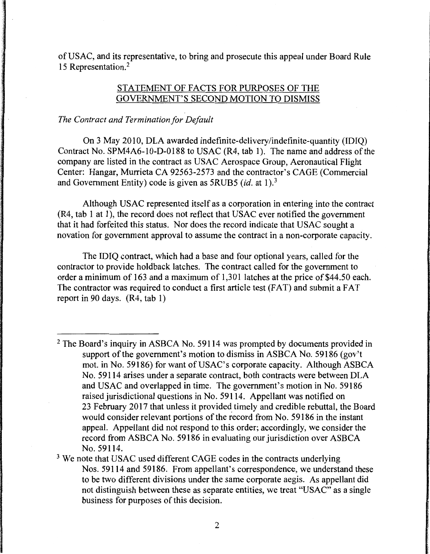of USAC, and its representative, to bring and prosecute this appeal under Board Rule 15 Representation.<sup>2</sup>

## STATEMENT OF FACTS FOR PURPOSES OF THE GOVERNMENT'S SECOND MOTION TO DISMISS

#### *The Contract and Termination for Default*

On 3 May 2010, DLA awarded indefinite-delivery/indefinite-quantity (IDIQ) Contract No. SPM4A6-10-D-0188 to USAC (R4, tab 1). The name and address of the company are listed in the contract as USAC Aerospace Group, Aeronautical Flight Center: Hangar, Murrieta CA 92563-2573 and the contractor's CAGE (Commercial and Government Entity) code is given as 5RUB5 *(id.* at 1).<sup>3</sup>

Although USAC represented itself as a corporation in entering into the contract (R4, tab 1 at 1), the record does not reflect that USAC ever notified the government that it had forfeited this status. Nor does the record indicate that USAC sought a novation for government approval to assume the contract in a non-corporate capacity.

The IDIQ contract, which had a base and four optional years, called for the contractor to provide holdback latches. The contract called for the government to order a minimum of 163 and a maximum of 1,301 latches at the price of \$44.50 each. The contractor was required to conduct a first article test (FAT) and submit a FAT report in 90 days. (R4, tab 1)

<sup>&</sup>lt;sup>2</sup> The Board's inquiry in ASBCA No. 59114 was prompted by documents provided in support of the government's motion to dismiss in ASBCA No. 59186 (gov't mot. in No. 59186) for want of USAC's corporate capacity. Although ASBCA No. 59114 arises under a separate contract, both contracts were between DLA and USAC and overlapped in time. The government's motion in No. 59186 raised jurisdictional questions in No. 59114. Appellant was notified on 23 February 2017 that unless it provided timely and credible rebuttal, the Board would consider relevant portions of the record from No. 59186 in the instant appeal. Appellant did not respond to this order; accordingly, we consider the record from ASBCA No. 59186 in evaluating our jurisdiction over ASBCA No. 59114.

<sup>&</sup>lt;sup>3</sup> We note that USAC used different CAGE codes in the contracts underlying Nos. 59114 and 59186. From appellant's correspondence, we understand these to be two different divisions under the same corporate aegis. As appellant did not distinguish between these as separate entities, we treat "USAC" as a single business for purposes of this decision.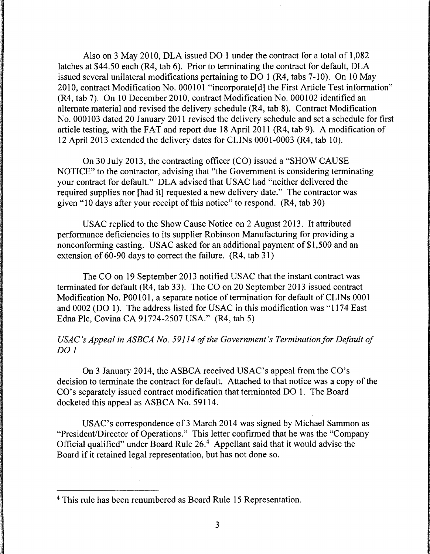Also on 3 May 2010, DLA issued DO 1 under the contract for a total of 1,082 latches at \$44.50 each (R4, tab 6). Prior to terminating the contract for default, DLA issued several unilateral modifications pertaining to DO 1 (R4, tabs 7-10). On 10 May 2010, contract Modification No. 000101 "incorporate[ d] the First Article Test information" (R4, tab 7). On 10 December 2010, contract Modification No. 000102 identified an alternate material and revised the delivery schedule (R4, tab 8). Contract Modification No. 000103 dated 20 January 2011 revised the delivery schedule and set a schedule for first article testing, with the FAT and report due 18 April 2011 (R4, tab 9). A modification of 12 April 2013 extended the delivery dates for CLINs 0001-0003 (R4, tab 10).

On 30 July 2013, the contracting officer (CO) issued a "SHOW CAUSE NOTICE" to the contractor, advising that "the Government is considering terminating your contract for default." DLA advised that USAC had "neither delivered the required supplies nor [had it] requested a new delivery date." The contractor was given "10 days after your receipt of this notice" to respond. (R4, tab 30)

USAC replied to the Show Cause Notice on 2 August 2013. It attributed performance deficiencies to its supplier Robinson Manufacturing for providing a nonconforming casting. USAC asked for an additional payment of \$1,500 and an extension of 60-90 days to correct the failure. (R4, tab 31)

The CO on 19 September 2013 notified USAC that the instant contract was terminated for default (R4, tab 33). The CO on 20 September 2013 issued contract Modification No. POOlOl, a separate notice of termination for default of CLINs 0001 and 0002 (DO 1). The address listed for USAC in this modification was "1174 East Edna Plc, Covina CA 91724-2507 USA." (R4, tab 5)

# *USAC's Appeal in ASBCA No. 59114 of the Government's Termination for Default of* DO<sub>1</sub>

On 3 January 2014, the ASBCA received USAC's appeal from the CO's decision to terminate the contract for default. Attached to that notice was a copy of the CO's separately issued contract modification that terminated DO 1. The Board docketed this appeal as ASBCA No. 59114.

USAC's correspondence of 3 March 2014 was signed by Michael Sammon as "President/Director of Operations." This letter confirmed that he was the "Company Official qualified" under Board Rule 26.4 Appellant said that it would advise the Board if it retained legal representation, but has not done so.

<sup>4</sup> This rule has been renumbered as Board Rule 15 Representation.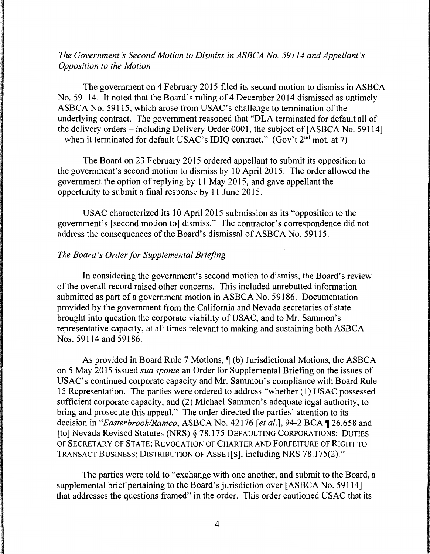# *The Government's Second Motion to Dismiss in ASBCA No. 59114 and Appellant's Opposition to the Motion*

The government on 4 February 2015 filed its second motion to dismiss in ASBCA No. 59114. It noted that the Board's ruling of 4 December 2014 dismissed as untimely ASBCA No. 59115, which arose from USAC's challenge to termination of the underlying contract. The government reasoned that "DLA terminated for default all of the delivery orders – including Delivery Order 0001, the subject of [ASBCA No. 59114] - when it terminated for default USAC's IDIQ contract." (Gov't  $2^{nd}$  mot. at 7)

The Board on 23 February 2015 ordered appellant to submit its opposition to the government's second motion to dismiss by 10 April 2015. The order allowed the government the option of replying by 11 May 2015, and gave appellant the opportunity to submit a final response by 11 June 2015.

USAC characterized its 10 April 2015 submission as its "opposition to the government's [second motion to] dismiss." The contractor's correspondence did not address the consequences of the Board's dismissal of ASBCA No. 59115.

### *The Board's Order for Supplemental Briefing*

In considering the government's second motion to dismiss, the Board's review of the overall record raised other concerns. This included unrebutted information submitted as part of a government motion in ASBCA No. 59186. Documentation provided by the government from the California and Nevada secretaries of state brought into question the corporate viability of USAC, and to Mr. Sammon's representative capacity, at all times relevant to making and sustaining both ASBCA Nos. 59114 and 59186.

As provided in Board Rule 7 Motions,  $\P$  (b) Jurisdictional Motions, the ASBCA on 5 May 2015 issued *sua sponte* an Order for Supplemental Briefing on the issues of USAC's continued corporate capacity and Mr. Sammon's compliance with Board Rule 15 Representation. The parties were ordered to address "whether ( 1) USAC possessed sufficient corporate capacity, and (2) Michael Sammon's adequate legal authority, to bring and prosecute this appeal." The order directed the parties' attention to its decision in "*Easterbrook/Ramco*, ASBCA No. 42176 [et al.], 94-2 BCA 1 26,658 and [to] Nevada Revised Statutes (NRS) § 78.175 DEFAULTING CORPORATIONS: DUTIES OF SECRETARY OF STATE; REVOCATION OF CHARTER AND FORFEITURE OF RIGHT TO TRANSACT BUSINESS; DISTRIBUTION OF ASSET[S], including NRS 78.175(2)."

The parties were told to "exchange with one another, and submit to the Board, a supplemental brief pertaining to the Board's jurisdiction over [ASBCA No. 59114] that addresses the questions framed" in the order. This order cautioned USAC that its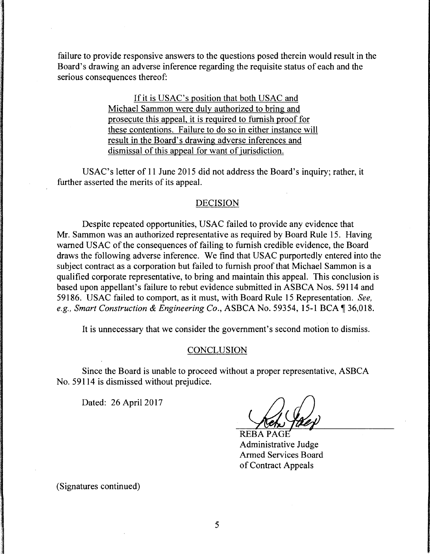failure to provide responsive answers to the questions posed therein would result in the Board's drawing an adverse inference regarding the requisite status of each and the serious consequences thereof:

> If it is USAC's position that both USAC and Michael Sammon were duly authorized to bring and prosecute this appeal, it is required to furnish proof for these contentions. Failure to do so in either instance will result in the Board's drawing adverse inferences and dismissal of this appeal for want of jurisdiction.

USAC's letter of 11 June 2015 did not address the Board's inquiry; rather, it further asserted the merits of its appeal.

#### DECISION

Despite repeated opportunities, USAC failed to provide any evidence that Mr. Sammon was an authorized representative as required by Board Rule 15. Having warned USAC of the consequences of failing to furnish credible evidence, the Board draws the following adverse inference. We find that USAC purportedly entered into the subject contract as a corporation but failed to furnish proof that Michael Sammon is a qualified corporate representative, to bring and maintain this appeal. This conclusion is based upon appellant's failure to rebut evidence submitted in ASBCA Nos. 59114 and 59186. USAC failed to comport, as it must, with Board Rule 15 Representation. *See, e.g., Smart Construction* & *Engineering Co.,* ASBCA No. 59354, 15-1BCA~36,018.

It is unnecessary that we consider the government's second motion to dismiss.

#### **CONCLUSION**

Since the Board is unable to proceed without a proper representative, ASBCA No. 59114 is dismissed without prejudice.

Dated: 26 April 2017

**REBA** Administrative Judge Armed Services Board of Contract Appeals

(Signatures continued)